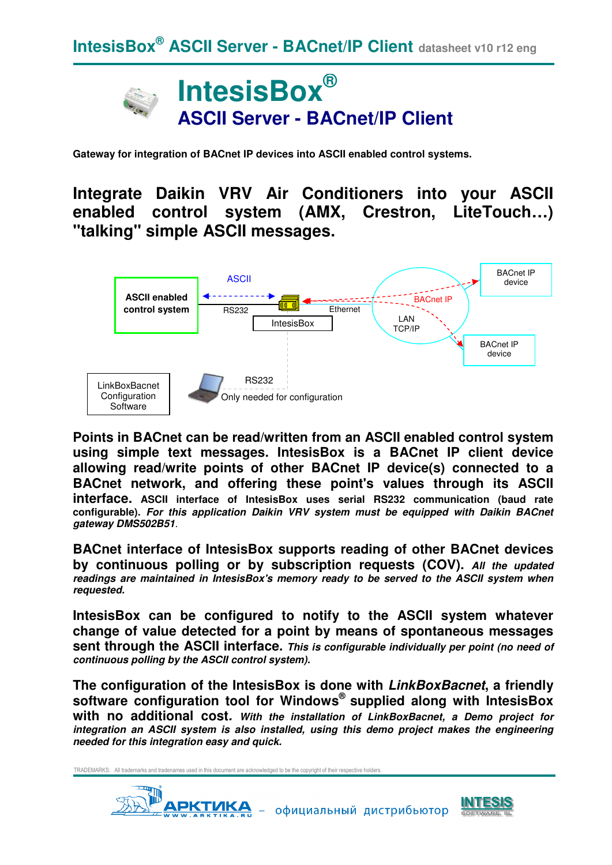

**Gateway for integration of BACnet IP devices into ASCII enabled control systems.** 

**Integrate Daikin VRV Air Conditioners into your ASCII enabled control system (AMX, Crestron, LiteTouch…) "talking" simple ASCII messages.** 



**Points in BACnet can be read/written from an ASCII enabled control system using simple text messages. IntesisBox is a BACnet IP client device allowing read/write points of other BACnet IP device(s) connected to a BACnet network, and offering these point's values through its ASCII interface. ASCII interface of IntesisBox uses serial RS232 communication (baud rate configurable). For this application Daikin VRV system must be equipped with Daikin BACnet gateway DMS502B51**.

**BACnet interface of IntesisBox supports reading of other BACnet devices by continuous polling or by subscription requests (COV). All the updated readings are maintained in IntesisBox's memory ready to be served to the ASCII system when requested.** 

**IntesisBox can be configured to notify to the ASCII system whatever change of value detected for a point by means of spontaneous messages sent through the ASCII interface. This is configurable individually per point (no need of continuous polling by the ASCII control system).** 

**The configuration of the IntesisBox is done with LinkBoxBacnet, a friendly software configuration tool for Windows® supplied along with IntesisBox with no additional cost. With the installation of LinkBoxBacnet, a Demo project for integration an ASCII system is also installed, using this demo project makes the engineering needed for this integration easy and quick.**



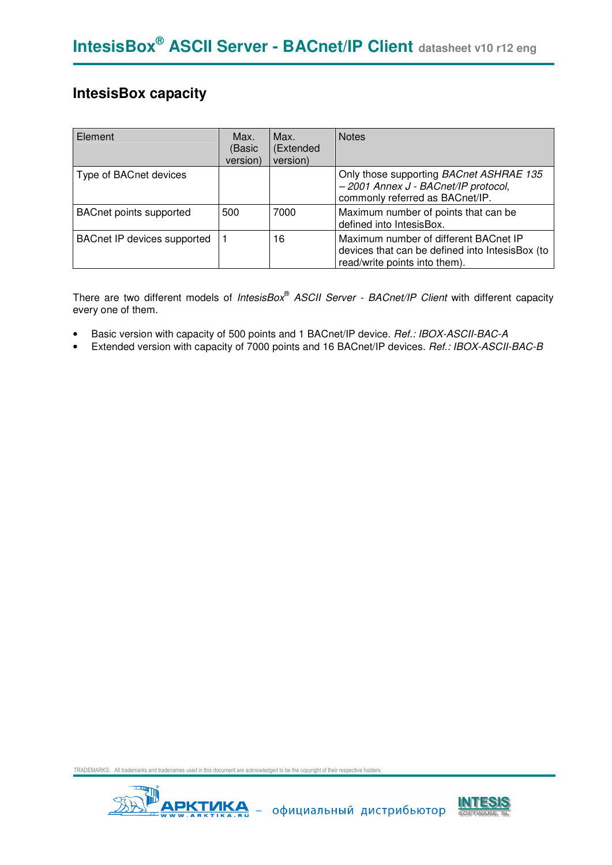## **IntesisBox capacity**

| Element                            | Max.<br>(Basic<br>version) | Max.<br>(Extended<br>version) | <b>Notes</b>                                                                                                              |
|------------------------------------|----------------------------|-------------------------------|---------------------------------------------------------------------------------------------------------------------------|
| Type of BACnet devices             |                            |                               | Only those supporting BACnet ASHRAE 135<br>- 2001 Annex J - BACnet/IP protocol,<br>commonly referred as BACnet/IP.        |
| <b>BACnet points supported</b>     | 500                        | 7000                          | Maximum number of points that can be<br>defined into IntesisBox.                                                          |
| <b>BACnet IP devices supported</b> |                            | 16                            | Maximum number of different BACnet IP<br>devices that can be defined into IntesisBox (to<br>read/write points into them). |

There are two different models of *IntesisBox*® ASCII Server - BACnet/IP Client with different capacity every one of them.

- Basic version with capacity of 500 points and 1 BACnet/IP device. Ref.: IBOX-ASCII-BAC-A
- Extended version with capacity of 7000 points and 16 BACnet/IP devices. Ref.: IBOX-ASCII-BAC-B



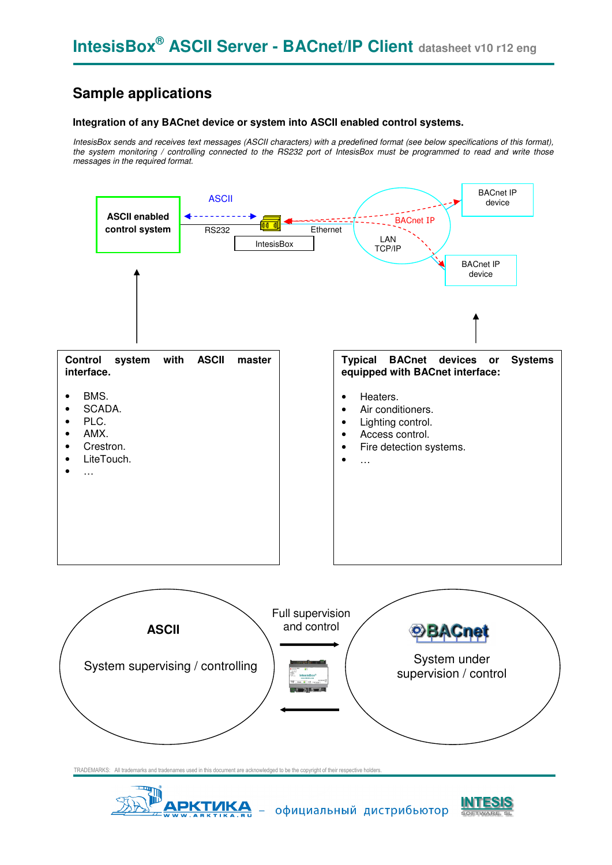## **Sample applications**

#### **Integration of any BACnet device or system into ASCII enabled control systems.**

IntesisBox sends and receives text messages (ASCII characters) with a predefined format (see below specifications of this format), the system monitoring / controlling connected to the RS232 port of IntesisBox must be programmed to read and write those messages in the required format.





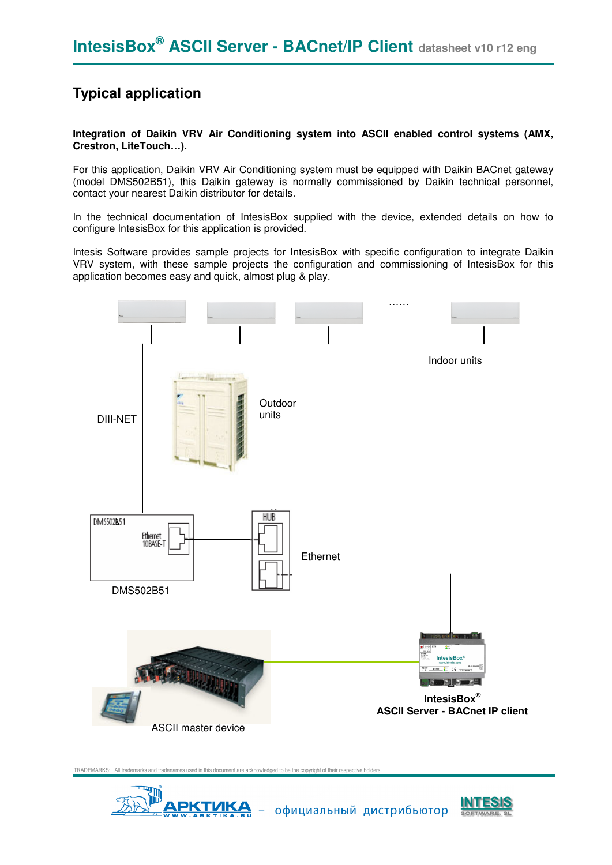## **Typical application**

**Integration of Daikin VRV Air Conditioning system into ASCII enabled control systems (AMX, Crestron, LiteTouch…).** 

For this application, Daikin VRV Air Conditioning system must be equipped with Daikin BACnet gateway (model DMS502B51), this Daikin gateway is normally commissioned by Daikin technical personnel, contact your nearest Daikin distributor for details.

In the technical documentation of IntesisBox supplied with the device, extended details on how to configure IntesisBox for this application is provided.

Intesis Software provides sample projects for IntesisBox with specific configuration to integrate Daikin VRV system, with these sample projects the configuration and commissioning of IntesisBox for this application becomes easy and quick, almost plug & play.





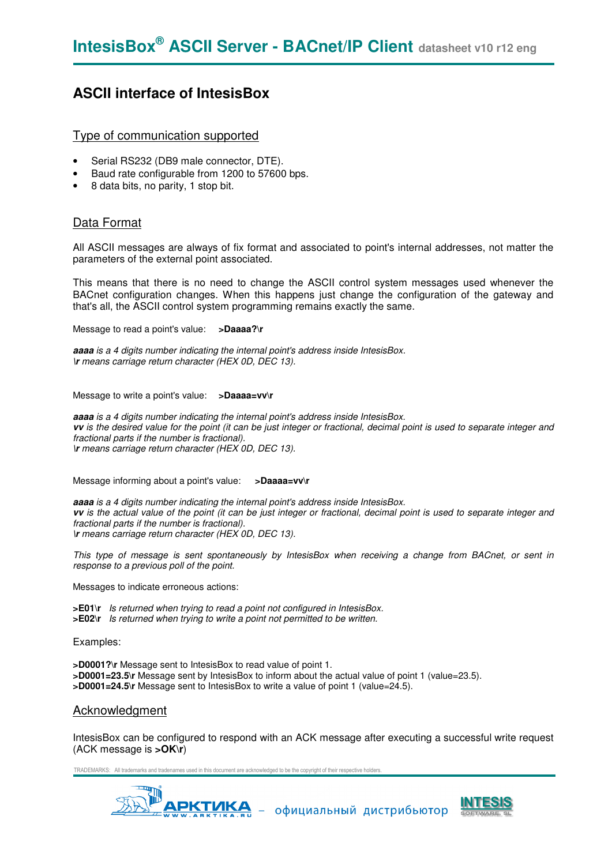### **ASCII interface of IntesisBox**

#### Type of communication supported

- Serial RS232 (DB9 male connector, DTE).
- Baud rate configurable from 1200 to 57600 bps.
- 8 data bits, no parity, 1 stop bit.

#### Data Format

All ASCII messages are always of fix format and associated to point's internal addresses, not matter the parameters of the external point associated.

This means that there is no need to change the ASCII control system messages used whenever the BACnet configuration changes. When this happens just change the configuration of the gateway and that's all, the ASCII control system programming remains exactly the same.

Message to read a point's value: **>Daaaa?\r** 

**aaaa** is a 4 digits number indicating the internal point's address inside IntesisBox. **\r** means carriage return character (HEX 0D, DEC 13).

Message to write a point's value: **>Daaaa=vv\r** 

**aaaa** is a 4 digits number indicating the internal point's address inside IntesisBox. **vv** is the desired value for the point (it can be just integer or fractional, decimal point is used to separate integer and fractional parts if the number is fractional). **\r** means carriage return character (HEX 0D, DEC 13).

Message informing about a point's value: **>Daaaa=vv\r** 

**aaaa** is a 4 digits number indicating the internal point's address inside IntesisBox. **vv** is the actual value of the point (it can be just integer or fractional, decimal point is used to separate integer and fractional parts if the number is fractional). **\r** means carriage return character (HEX 0D, DEC 13).

This type of message is sent spontaneously by IntesisBox when receiving a change from BACnet, or sent in response to a previous poll of the point.

Messages to indicate erroneous actions:

**>E01\r** Is returned when trying to read a point not configured in IntesisBox. **>E02\r** Is returned when trying to write a point not permitted to be written.

Examples:

**>D0001?\r** Message sent to IntesisBox to read value of point 1. **>D0001=23.5\r** Message sent by IntesisBox to inform about the actual value of point 1 (value=23.5). **>D0001=24.5\r** Message sent to IntesisBox to write a value of point 1 (value=24.5).

#### Acknowledgment

IntesisBox can be configured to respond with an ACK message after executing a successful write request (ACK message is **>OK\r**)



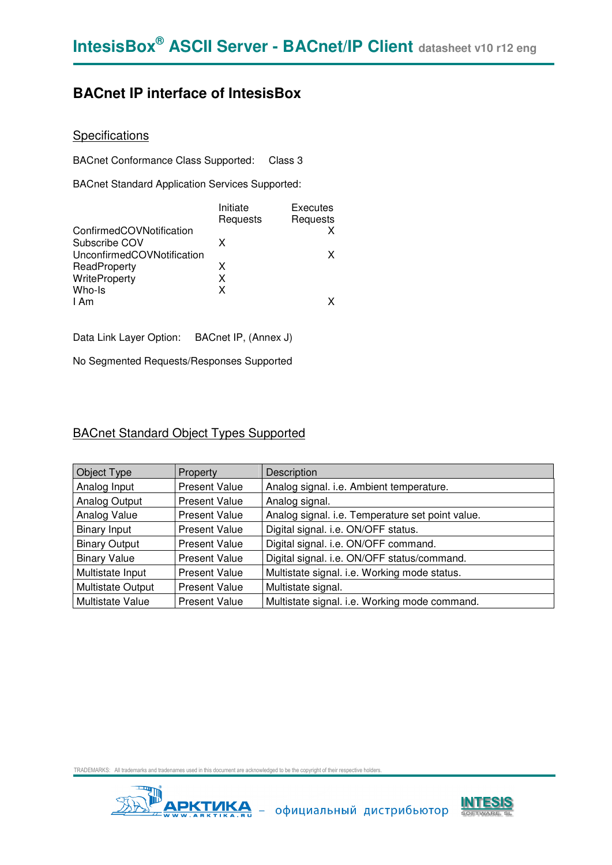## **BACnet IP interface of IntesisBox**

### **Specifications**

BACnet Conformance Class Supported: Class 3

BACnet Standard Application Services Supported:

|                            | Initiate | Executes |
|----------------------------|----------|----------|
|                            | Requests | Requests |
| ConfirmedCOVNotification   |          |          |
| Subscribe COV              | x        |          |
| UnconfirmedCOVNotification |          | x        |
| ReadProperty               | x        |          |
| WriteProperty              | x        |          |
| Who-Is                     | x        |          |
| I Am                       |          |          |
|                            |          |          |

Data Link Layer Option: BACnet IP, (Annex J)

No Segmented Requests/Responses Supported

#### BACnet Standard Object Types Supported

| Object Type                                      | Property             | Description                                      |  |  |  |
|--------------------------------------------------|----------------------|--------------------------------------------------|--|--|--|
| Analog Input<br><b>Present Value</b>             |                      | Analog signal. i.e. Ambient temperature.         |  |  |  |
| Analog Output<br><b>Present Value</b>            |                      | Analog signal.                                   |  |  |  |
| Analog Value<br><b>Present Value</b>             |                      | Analog signal. i.e. Temperature set point value. |  |  |  |
| <b>Binary Input</b><br><b>Present Value</b>      |                      | Digital signal. i.e. ON/OFF status.              |  |  |  |
| <b>Binary Output</b><br><b>Present Value</b>     |                      | Digital signal. i.e. ON/OFF command.             |  |  |  |
| <b>Binary Value</b>                              | <b>Present Value</b> | Digital signal. i.e. ON/OFF status/command.      |  |  |  |
| Multistate Input                                 | <b>Present Value</b> | Multistate signal. i.e. Working mode status.     |  |  |  |
| <b>Multistate Output</b><br><b>Present Value</b> |                      | Multistate signal.                               |  |  |  |
| <b>Multistate Value</b>                          | <b>Present Value</b> | Multistate signal. i.e. Working mode command.    |  |  |  |



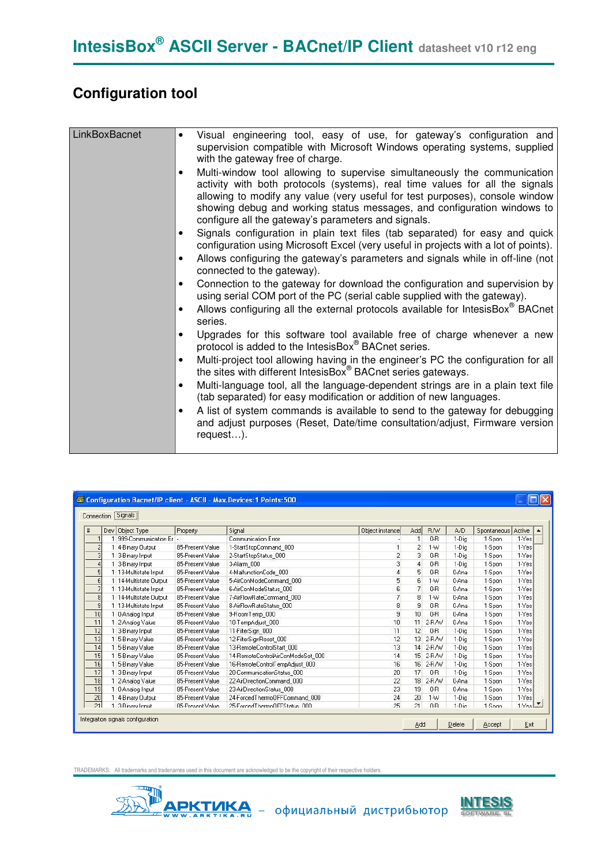## **Configuration tool**

| LinkBoxBacnet | Visual engineering tool, easy of use, for gateway's configuration and<br>$\bullet$<br>supervision compatible with Microsoft Windows operating systems, supplied<br>with the gateway free of charge.<br>Multi-window tool allowing to supervise simultaneously the communication<br>activity with both protocols (systems), real time values for all the signals<br>allowing to modify any value (very useful for test purposes), console window<br>showing debug and working status messages, and configuration windows to<br>configure all the gateway's parameters and signals.<br>Signals configuration in plain text files (tab separated) for easy and quick<br>configuration using Microsoft Excel (very useful in projects with a lot of points).<br>Allows configuring the gateway's parameters and signals while in off-line (not<br>connected to the gateway).<br>Connection to the gateway for download the configuration and supervision by<br>using serial COM port of the PC (serial cable supplied with the gateway).<br>Allows configuring all the external protocols available for IntesisBox <sup>®</sup> BACnet<br>series. |
|---------------|-----------------------------------------------------------------------------------------------------------------------------------------------------------------------------------------------------------------------------------------------------------------------------------------------------------------------------------------------------------------------------------------------------------------------------------------------------------------------------------------------------------------------------------------------------------------------------------------------------------------------------------------------------------------------------------------------------------------------------------------------------------------------------------------------------------------------------------------------------------------------------------------------------------------------------------------------------------------------------------------------------------------------------------------------------------------------------------------------------------------------------------------------|
|               | Upgrades for this software tool available free of charge whenever a new<br>$\bullet$<br>protocol is added to the IntesisBox® BACnet series.<br>Multi-project tool allowing having in the engineer's PC the configuration for all<br>$\bullet$<br>the sites with different IntesisBox <sup>®</sup> BACnet series gateways.<br>Multi-language tool, all the language-dependent strings are in a plain text file<br>(tab separated) for easy modification or addition of new languages.<br>A list of system commands is available to send to the gateway for debugging<br>and adjust purposes (Reset, Date/time consultation/adjust, Firmware version<br>request).                                                                                                                                                                                                                                                                                                                                                                                                                                                                               |

|                   | Dev Object Type        | Property         | Signal                            | Object instance | Add            | <b>RAV</b> | A/D   | Spontaneous | Active                  |
|-------------------|------------------------|------------------|-----------------------------------|-----------------|----------------|------------|-------|-------------|-------------------------|
|                   | 999-Communication Er   |                  | Communication Error               |                 | и              | $0 - R$    | 1-Dig | 1-Spon      | 1-Yes                   |
| $\overline{2}$    | 4-Binary Output        | 85-Present Value | 1-StartStopCommand 000            | 1               | $\overline{2}$ | $1-M$      | 1-Dig | 1-Spon      | 1-Yes                   |
| $\overline{3}$    | 3-Binary Input         | 85-Present Value | 2-StartStopStatus_000             | $\overline{c}$  | 3              | $0 - R$    | 1-Dia | 1-Spon      | $1 - Yes$               |
| 4                 | 3-Binary Input         | 85-Present Value | 3-Alarm 000                       | 3               | A              | $0 - R$    | 1-Dig | 1-Spon      | $1-Yes$                 |
| $\overline{5}$    | 1 13-Multistate Input  | 85-Present Value | 4-MalfunctionCode 000             | 4               | 5              | $0 - R$    | 0-Ana | 1-Spon      | $1 - Yes$               |
| 6 <sup>1</sup>    | 1 14-Multistate Output | 85-Present Value | 5-AirConModeCommand 000           | 5               | f <sub>1</sub> | $1-M$      | 0-Ana | 1-Spon      | $1-Yes$                 |
| $\overline{7}$    | 1 13-Multistate Input  | 85-Present Value | 6-AirConModeStatus 000            | 6               | 7              | $0 - R$    | 0-Ana | 1-Spon      | $1 - Yes$               |
| $\lvert 8 \rvert$ | 1 14-Multistate Output | 85-Present Value | 7-AirFlowRateCommand 000          | $\overline{7}$  | 8              | $1 - W$    | 0-Ana | 1-Spon      | $1 - Yes$               |
| $\vert$           | 1 13-Multistate Input  | 85-Present Value | 8-AirFlowRateStatus 000           | 8               | 9              | $0 - R$    | 0-Ana | 1-Spon      | 1-Yes                   |
| 10                | 0-Analog Input         | 85-Present Value | 9-RoomTemp 000                    | 9               | 10             | $0 - R$    | 0-Ana | 1-Spon      | $1 - Yes$               |
| 11                | 2-Analog Value         | 85-Present Value | 10-TempAdjust_000                 | 10              | 11             | $2-R/W$    | 0-Ana | 1-Spon      | $1 - Yes$               |
| 12                | 3-Binary Input         | 85-Present Value | 11-FilterSign 000                 | 11              | 12             | $0 - R$    | 1-Dia | 1-Spon      | $1 - Yes$               |
| 13                | 5-Binary Value         | 85-Present Value | 12-FilterSignReset_000            | 12              | 13             | 2-RAV      | 1-Dig | 1-Spon      | $1-Yes$                 |
| 14                | 5-Binary Value         | 85-Present Value | 13-RemoteControlStart 000         | 13              | 14             | 2-RAV      | 1-Dia | 1-Spon      | $1 - Yes$               |
| 15                | 5-Binary Value         | 85-Present Value | 14-RemoteControlAirConModeSet 000 | 14              | 15             | 2-R/W      | 1-Dig | 1-Spon      | $1 - Yes$               |
| 16                | 5-Binary Value         | 85-Present Value | 16-RemoteControlTempAdjust 000    | 16              | 16             | 2-RAV      | 1-Dig | 1-Spon      | $1-Yes$                 |
| 17                | 3-Binary Input         | 85-Present Value | 20-CommunicationStatus 000        | 20              | 17             | $0 - R$    | 1-Dig | 1-Spon      | $1 - Yes$               |
| 18                | 2-Analog Value         | 85-Present Value | 22-AirDirectionCommand 000        | 22              | 18             | 2-R/W      | 0-Ana | 1-Spon      | 1-Yes                   |
| 19                | 0-Analog Input         | 85-Present Value | 23-AirDirectionStatus 000         | 23              | 19             | $0 - R$    | 0-Ana | 1-Spon      | $1 - Yes$               |
| 20                | 4-Binary Output        | 85-Present Value | 24-ForcedThermoOFFCommand 000     | 24              | 20             | $1 - W$    | 1-Dig | 1-Spon      | $1 - Yes$               |
| 21                | 1 3-Rinary Innut       | 85-Present Value | 25-EnroedThermoOEEStatus 000      | 25              | 21             | $0 - R$    | 1-Din | 1-Soon      | $1.1$ es $\overline{v}$ |



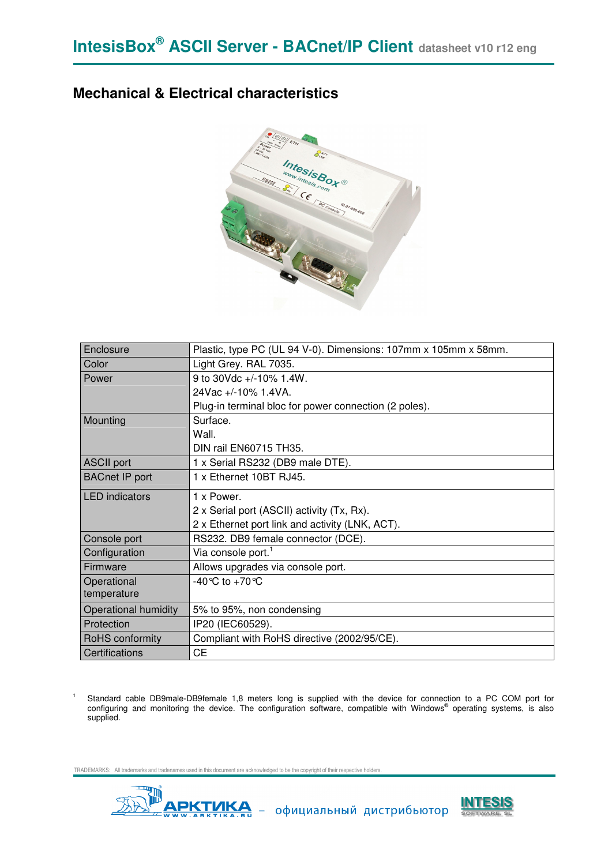### **Mechanical & Electrical characteristics**



| Enclosure                   | Plastic, type PC (UL 94 V-0). Dimensions: 107mm x 105mm x 58mm. |
|-----------------------------|-----------------------------------------------------------------|
| Color                       | Light Grey. RAL 7035.                                           |
| Power                       | 9 to 30Vdc +/-10% 1.4W.                                         |
|                             | 24Vac +/-10% 1.4VA.                                             |
|                             | Plug-in terminal bloc for power connection (2 poles).           |
| Mounting                    | Surface.                                                        |
|                             | Wall.                                                           |
|                             | DIN rail EN60715 TH35.                                          |
| <b>ASCII port</b>           | 1 x Serial RS232 (DB9 male DTE).                                |
| <b>BACnet IP port</b>       | 1 x Ethernet 10BT RJ45.                                         |
| <b>LED</b> indicators       | 1 x Power.                                                      |
|                             | 2 x Serial port (ASCII) activity (Tx, Rx).                      |
|                             | 2 x Ethernet port link and activity (LNK, ACT).                 |
| Console port                | RS232. DB9 female connector (DCE).                              |
| Configuration               | Via console port. <sup>1</sup>                                  |
| Firmware                    | Allows upgrades via console port.                               |
| Operational                 | -40 °C to +70 °C                                                |
| temperature                 |                                                                 |
| <b>Operational humidity</b> | 5% to 95%, non condensing                                       |
| Protection                  | IP20 (IEC60529).                                                |
| RoHS conformity             | Compliant with RoHS directive (2002/95/CE).                     |
| Certifications              | <b>CE</b>                                                       |

1 Standard cable DB9male-DB9female 1,8 meters long is supplied with the device for connection to a PC COM port for<br>configuring and monitoring the device. The configuration software, compatible with Windows® operating systems supplied.